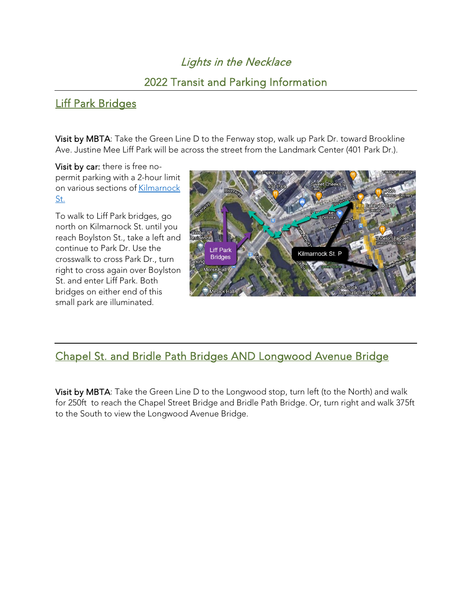# Lights in the Necklace

## 2022 Transit and Parking Information

## [Liff Park Bridges](https://goo.gl/maps/C1FXY8FwZvnYRSKQA)

Visit by MBTA: Take the Green Line D to the Fenway stop, walk up Park Dr. toward Brookline Ave. Justine Mee Liff Park will be across the street from the Landmark Center (401 Park Dr.).

Visit by car: there is free nopermit parking with a 2-hour limit on various sections of [Kilmarnock](https://goo.gl/maps/LizxJkNyyDuhnFVg8)  [St.](https://goo.gl/maps/LizxJkNyyDuhnFVg8)

To walk to Liff Park bridges, go north on Kilmarnock St. until you reach Boylston St., take a left and continue to Park Dr. Use the crosswalk to cross Park Dr., turn right to cross again over Boylston St. and enter Liff Park. Both bridges on either end of this small park are illuminated.



### [Chapel St. and Bridle Path Bridges](https://goo.gl/maps/rkg6jzPFs5J8fYf7A) AND [Longwood Avenue Bridge](https://goo.gl/maps/rkg6jzPFs5J8fYf7A)

Visit by MBTA: Take the Green Line D to the Longwood stop, turn left (to the North) and walk for 250ft to reach the Chapel Street Bridge and Bridle Path Bridge. Or, turn right and walk 375ft to the South to view the Longwood Avenue Bridge.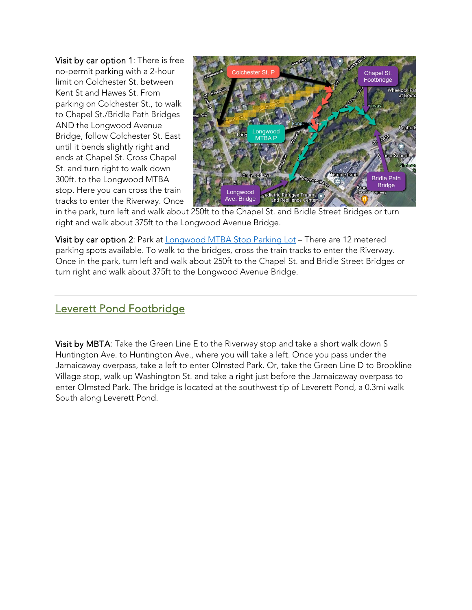Visit by car option 1: There is free no-permit parking with a 2-hour limit on [Colchester St.](https://goo.gl/maps/XScrpMpdZ72KDCuW9) between Kent St and Hawes St. From parking on Colchester St., to walk to Chapel St./Bridle Path Bridges AND the Longwood Avenue Bridge, follow Colchester St. East until it bends slightly right and ends at Chapel St. Cross Chapel St. and turn right to walk down 300ft. to the Longwood MTBA stop. Here you can cross the train tracks to enter the Riverway. Once



in the park, turn left and walk about 250ft to the Chapel St. and Bridle Street Bridges or turn right and walk about 375ft to the Longwood Avenue Bridge.

Visit by car option 2: Park at **Longwood MTBA Stop Parking Lot** – There are 12 metered parking spots available. To walk to the bridges, cross the train tracks to enter the Riverway. Once in the park, turn left and walk about 250ft to the Chapel St. and Bridle Street Bridges or turn right and walk about 375ft to the Longwood Avenue Bridge.

### [Leverett Pond Footbridge](https://goo.gl/maps/prSJhzvLtCWnMKsr6)

Visit by MBTA: Take the Green Line E to the Riverway stop and take a short walk down S Huntington Ave. to Huntington Ave., where you will take a left. Once you pass under the Jamaicaway overpass, take a left to enter Olmsted Park. Or, take the Green Line D to Brookline Village stop, walk up Washington St. and take a right just before the Jamaicaway overpass to enter Olmsted Park. The bridge is located at the southwest tip of Leverett Pond, a 0.3mi walk South along Leverett Pond.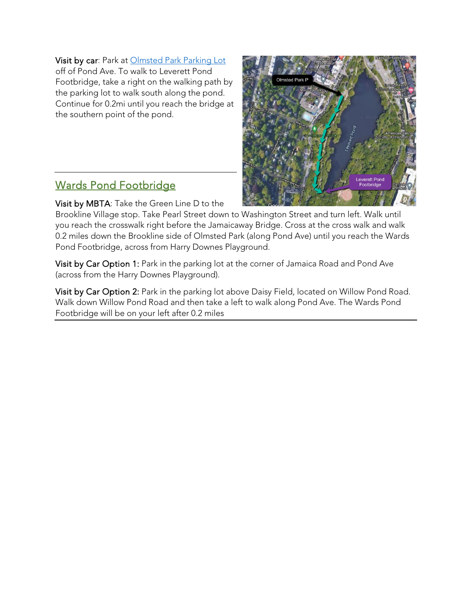#### Visit by car: Park at [Olmsted Park Parking Lot](https://www.google.com/maps/place/42%C2%B019)

off of Pond Ave. To walk to Leverett Pond Footbridge, take a right on the walking path by the parking lot to walk south along the pond. Continue for 0.2mi until you reach the bridge at the southern point of the pond.

### Wards Pond Footbridge

Visit by MBTA: Take the Green Line D to the

Brookline Village stop. Take Pearl Street down to Washington Street and turn left. Walk until you reach the crosswalk right before the Jamaicaway Bridge. Cross at the cross walk and walk 0.2 miles down the Brookline side of Olmsted Park (along Pond Ave) until you reach the Wards Pond Footbridge, across from Harry Downes Playground.

Visit by Car Option 1: Park in the parking lot at the corner of Jamaica Road and Pond Ave (across from the Harry Downes Playground).

Visit by Car Option 2: Park in the parking lot above Daisy Field, located on Willow Pond Road. Walk down Willow Pond Road and then take a left to walk along Pond Ave. The Wards Pond Footbridge will be on your left after 0.2 miles

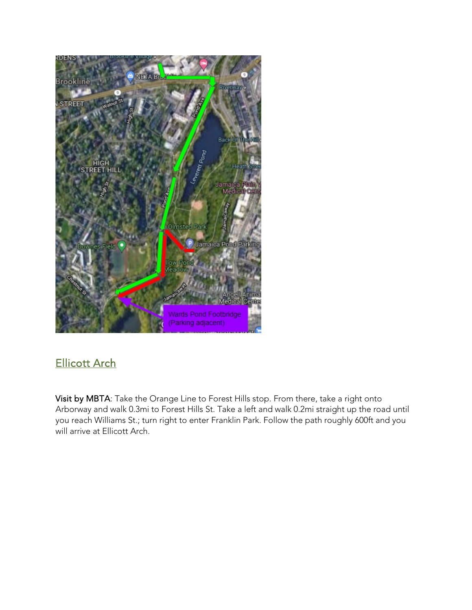

# [Ellicott Arch](https://goo.gl/maps/xTT9qVCAEYyPUgCY6)

Visit by MBTA: Take the Orange Line to Forest Hills stop. From there, take a right onto Arborway and walk 0.3mi to Forest Hills St. Take a left and walk 0.2mi straight up the road until you reach Williams St.; turn right to enter Franklin Park. Follow the path roughly 600ft and you will arrive at Ellicott Arch.